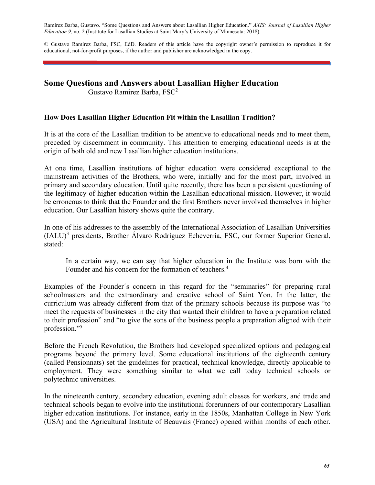Ramírez Barba, Gustavo. "Some Questions and Answers about Lasallian Higher Education." *AXIS: Journal of Lasallian Higher Education 9*, no. 2 (Institute for Lasallian Studies at Saint Mary's University of Minnesota: 2018).

© Gustavo Ramírez Barba, FSC, EdD. Readers of this article have the copyright owner's permission to reproduce it for educational, not-for-profit purposes, if the author and publisher are acknowledged in the copy.

# **Some Questions and Answers about Lasallian Higher Education**

Gustavo Ramírez Barba, FSC<sup>2</sup>

### **How Does Lasallian Higher Education Fit within the Lasallian Tradition?**

It is at the core of the Lasallian tradition to be attentive to educational needs and to meet them, preceded by discernment in community. This attention to emerging educational needs is at the origin of both old and new Lasallian higher education institutions.

At one time, Lasallian institutions of higher education were considered exceptional to the mainstream activities of the Brothers, who were, initially and for the most part, involved in primary and secondary education. Until quite recently, there has been a persistent questioning of the legitimacy of higher education within the Lasallian educational mission. However, it would be erroneous to think that the Founder and the first Brothers never involved themselves in higher education. Our Lasallian history shows quite the contrary.

In one of his addresses to the assembly of the International Association of Lasallian Universities (IALU)<sup>3</sup> presidents, Brother Álvaro Rodríguez Echeverría, FSC, our former Superior General, stated:

In a certain way, we can say that higher education in the Institute was born with the Founder and his concern for the formation of teachers.<sup>4</sup>

Examples of the Founder´s concern in this regard for the "seminaries" for preparing rural schoolmasters and the extraordinary and creative school of Saint Yon. In the latter, the curriculum was already different from that of the primary schools because its purpose was "to meet the requests of businesses in the city that wanted their children to have a preparation related to their profession" and "to give the sons of the business people a preparation aligned with their profession."5

Before the French Revolution, the Brothers had developed specialized options and pedagogical programs beyond the primary level. Some educational institutions of the eighteenth century (called Pensionnats) set the guidelines for practical, technical knowledge, directly applicable to employment. They were something similar to what we call today technical schools or polytechnic universities.

In the nineteenth century, secondary education, evening adult classes for workers, and trade and technical schools began to evolve into the institutional forerunners of our contemporary Lasallian higher education institutions. For instance, early in the 1850s, Manhattan College in New York (USA) and the Agricultural Institute of Beauvais (France) opened within months of each other.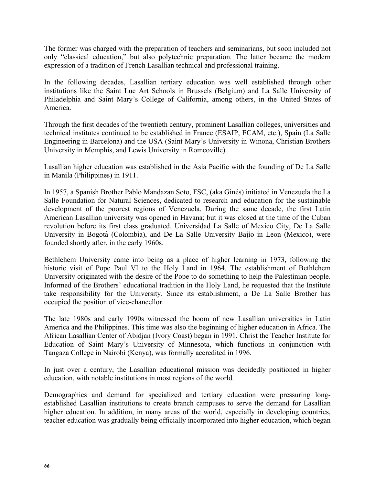The former was charged with the preparation of teachers and seminarians, but soon included not only "classical education," but also polytechnic preparation. The latter became the modern expression of a tradition of French Lasallian technical and professional training.

In the following decades, Lasallian tertiary education was well established through other institutions like the Saint Luc Art Schools in Brussels (Belgium) and La Salle University of Philadelphia and Saint Mary's College of California, among others, in the United States of America.

Through the first decades of the twentieth century, prominent Lasallian colleges, universities and technical institutes continued to be established in France (ESAIP, ECAM, etc.), Spain (La Salle Engineering in Barcelona) and the USA (Saint Mary's University in Winona, Christian Brothers University in Memphis, and Lewis University in Romeoville).

Lasallian higher education was established in the Asia Pacific with the founding of De La Salle in Manila (Philippines) in 1911.

In 1957, a Spanish Brother Pablo Mandazan Soto, FSC, (aka Ginés) initiated in Venezuela the La Salle Foundation for Natural Sciences, dedicated to research and education for the sustainable development of the poorest regions of Venezuela. During the same decade, the first Latin American Lasallian university was opened in Havana; but it was closed at the time of the Cuban revolution before its first class graduated. Universidad La Salle of Mexico City, De La Salle University in Bogotá (Colombia), and De La Salle University Bajío in Leon (Mexico), were founded shortly after, in the early 1960s.

Bethlehem University came into being as a place of higher learning in 1973, following the historic visit of Pope Paul VI to the Holy Land in 1964. The establishment of Bethlehem University originated with the desire of the Pope to do something to help the Palestinian people. Informed of the Brothers' educational tradition in the Holy Land, he requested that the Institute take responsibility for the University. Since its establishment, a De La Salle Brother has occupied the position of vice-chancellor.

The late 1980s and early 1990s witnessed the boom of new Lasallian universities in Latin America and the Philippines. This time was also the beginning of higher education in Africa. The African Lasallian Center of Abidjan (Ivory Coast) began in 1991. Christ the Teacher Institute for Education of Saint Mary's University of Minnesota, which functions in conjunction with Tangaza College in Nairobi (Kenya), was formally accredited in 1996.

In just over a century, the Lasallian educational mission was decidedly positioned in higher education, with notable institutions in most regions of the world.

Demographics and demand for specialized and tertiary education were pressuring longestablished Lasallian institutions to create branch campuses to serve the demand for Lasallian higher education. In addition, in many areas of the world, especially in developing countries, teacher education was gradually being officially incorporated into higher education, which began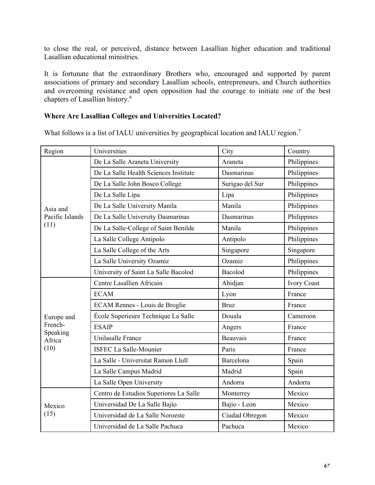to close the real, or perceived, distance between Lasallian higher education and traditional Lasallian educational ministries.

It is fortunate that the extraordinary Brothers who, encouraged and supported by parent associations of primary and secondary Lasallian schools, entrepreneurs, and Church authorities and overcoming resistance and open opposition had the courage to initiate one of the best chapters of Lasallian history.6

### **Where Are Lasallian Colleges and Universities Located?**

What follows is a list of IALU universities by geographical location and IALU region.<sup>7</sup>

| Region              | Universities                           | City            | Country            |
|---------------------|----------------------------------------|-----------------|--------------------|
| Asia and            | De La Salle Araneta University         | Araneta         | Philippines        |
|                     | De La Salle Health Sciences Institute  | Dasmarinas      | Philippines        |
|                     | De La Salle John Bosco College         | Surigao del Sur | Philippines        |
|                     | De La Salle Lipa                       | Lipa            | Philippines        |
|                     | De La Salle University Manila          | Manila          | Philippines        |
| Pacific Islands     | De La Salle University Dasmarinas      | Dasmarinas      | Philippines        |
| (11)                | De La Salle-College of Saint Benilde   | Manila          | Philippines        |
|                     | La Salle College Antipolo              | Antipolo        | Philippines        |
|                     | La Salle College of the Arts           | Singapore       | Singapore          |
|                     | La Salle University Ozamiz             | Ozamiz          | Philippines        |
|                     | University of Saint La Salle Bacolod   | Bacolod         | Philippines        |
|                     | Centre Lasallien Africain              | Abidjan         | <b>Ivory Coast</b> |
|                     | <b>ECAM</b>                            | Lyon            | France             |
|                     | ECAM Rennes - Louis de Broglie         | <b>Bruz</b>     | France             |
| Europe and          | École Superieure Technique La Salle    | Douala          | Cameroon           |
| French-<br>Speaking | <b>ESAIP</b>                           | Angers          | France             |
| Africa              | Unilasalle France                      | <b>Beauvais</b> | France             |
| (10)                | <b>ISFEC La Salle-Mounier</b>          | Paris           | France             |
|                     | La Salle - Universitat Ramon Llull     | Barcelona       | Spain              |
|                     | La Salle Campus Madrid                 | Madrid          | Spain              |
|                     | La Salle Open University               | Andorra         | Andorra            |
| Mexico<br>(15)      | Centro de Estudios Superiores La Salle | Monterrey       | Mexico             |
|                     | Universidad De La Salle Bajío          | Bajío - Leon    | Mexico             |
|                     | Universidad de La Salle Noroeste       | Ciudad Obregon  | Mexico             |
|                     | Universidad de La Salle Pachuca        | Pachuca         | Mexico             |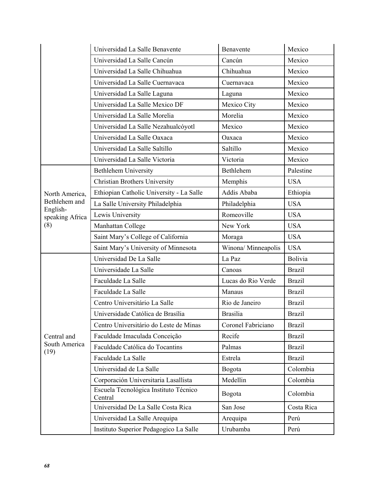|                             | Universidad La Salle Benavente                   | Benavente           | Mexico        |
|-----------------------------|--------------------------------------------------|---------------------|---------------|
|                             | Universidad La Salle Cancún                      | Cancún              | Mexico        |
|                             | Universidad La Salle Chihuahua                   | Chihuahua           | Mexico        |
|                             | Universidad La Salle Cuernavaca                  | Cuernavaca          | Mexico        |
|                             | Universidad La Salle Laguna                      | Laguna              | Mexico        |
|                             | Universidad La Salle Mexico DF                   | Mexico City         | Mexico        |
|                             | Universidad La Salle Morelia                     | Morelia             | Mexico        |
|                             | Universidad La Salle Nezahualcóyotl              | Mexico              | Mexico        |
|                             | Universidad La Salle Oaxaca                      | Oaxaca              | Mexico        |
|                             | Universidad La Salle Saltillo                    | Saltillo            | Mexico        |
|                             | Universidad La Salle Victoria                    | Victoria            | Mexico        |
|                             | <b>Bethlehem University</b>                      | Bethlehem           | Palestine     |
|                             | <b>Christian Brothers University</b>             | Memphis             | <b>USA</b>    |
| North America,              | Ethiopian Catholic University - La Salle         | Addis Ababa         | Ethiopia      |
| Bethlehem and               | La Salle University Philadelphia                 | Philadelphia        | <b>USA</b>    |
| English-<br>speaking Africa | Lewis University                                 | Romeoville          | <b>USA</b>    |
| (8)                         | Manhattan College                                | New York            | <b>USA</b>    |
|                             | Saint Mary's College of California               | Moraga              | <b>USA</b>    |
|                             | Saint Mary's University of Minnesota             | Winona/ Minneapolis | <b>USA</b>    |
|                             | Universidad De La Salle                          | La Paz              | Bolivia       |
|                             | Universidade La Salle                            | Canoas              | <b>Brazil</b> |
|                             | Faculdade La Salle                               | Lucas do Rio Verde  | <b>Brazil</b> |
|                             | Faculdade La Salle                               | Manaus              | <b>Brazil</b> |
|                             | Centro Universitário La Salle                    | Rio de Janeiro      | <b>Brazil</b> |
|                             | Universidade Católica de Brasília                | <b>Brasilia</b>     | <b>Brazil</b> |
|                             | Centro Universitário do Leste de Minas           | Coronel Fabriciano  | <b>Brazil</b> |
| Central and                 | Faculdade Imaculada Conceição                    | Recife              | <b>Brazil</b> |
| South America<br>(19)       | Faculdade Católica do Tocantins                  | Palmas              | <b>Brazil</b> |
|                             | Faculdade La Salle                               | Estrela             | <b>Brazil</b> |
|                             | Universidad de La Salle                          | Bogota              | Colombia      |
|                             | Corporación Universitaria Lasallista             | Medellin            | Colombia      |
|                             | Escuela Tecnológica Instituto Técnico<br>Central | Bogota              | Colombia      |
|                             | Universidad De La Salle Costa Rica               | San Jose            | Costa Rica    |
|                             | Universidad La Salle Arequipa                    | Arequipa            | Perú          |
|                             | Instituto Superior Pedagogico La Salle           | Urubamba            | Perú          |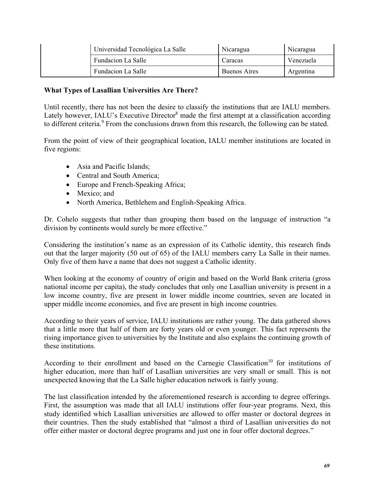| Universidad Tecnológica La Salle | Nicaragua    | Nicaragua |
|----------------------------------|--------------|-----------|
| Fundacion La Salle               | Caracas      | Venezuela |
| Fundacion La Salle               | Buenos Aires | Argentina |

### **What Types of Lasallian Universities Are There?**

Until recently, there has not been the desire to classify the institutions that are IALU members. Lately however, IALU's Executive Director<sup>8</sup> made the first attempt at a classification according to different criteria.<sup>9</sup> From the conclusions drawn from this research, the following can be stated.

From the point of view of their geographical location, IALU member institutions are located in five regions:

- Asia and Pacific Islands:
- Central and South America;
- Europe and French-Speaking Africa;
- Mexico; and
- North America, Bethlehem and English-Speaking Africa.

Dr. Cohelo suggests that rather than grouping them based on the language of instruction "a division by continents would surely be more effective."

Considering the institution's name as an expression of its Catholic identity, this research finds out that the larger majority (50 out of 65) of the IALU members carry La Salle in their names. Only five of them have a name that does not suggest a Catholic identity.

When looking at the economy of country of origin and based on the World Bank criteria (gross national income per capita), the study concludes that only one Lasallian university is present in a low income country, five are present in lower middle income countries, seven are located in upper middle income economies, and five are present in high income countries.

According to their years of service, IALU institutions are rather young. The data gathered shows that a little more that half of them are forty years old or even younger. This fact represents the rising importance given to universities by the Institute and also explains the continuing growth of these institutions.

According to their enrollment and based on the Carnegie Classification<sup>10</sup> for institutions of higher education, more than half of Lasallian universities are very small or small. This is not unexpected knowing that the La Salle higher education network is fairly young.

The last classification intended by the aforementioned research is according to degree offerings. First, the assumption was made that all IALU institutions offer four-year programs. Next, this study identified which Lasallian universities are allowed to offer master or doctoral degrees in their countries. Then the study established that "almost a third of Lasallian universities do not offer either master or doctoral degree programs and just one in four offer doctoral degrees."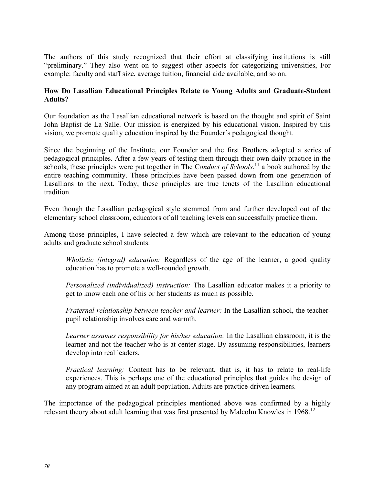The authors of this study recognized that their effort at classifying institutions is still "preliminary." They also went on to suggest other aspects for categorizing universities, For example: faculty and staff size, average tuition, financial aide available, and so on.

## **How Do Lasallian Educational Principles Relate to Young Adults and Graduate-Student Adults?**

Our foundation as the Lasallian educational network is based on the thought and spirit of Saint John Baptist de La Salle. Our mission is energized by his educational vision. Inspired by this vision, we promote quality education inspired by the Founder´s pedagogical thought.

Since the beginning of the Institute, our Founder and the first Brothers adopted a series of pedagogical principles. After a few years of testing them through their own daily practice in the schools, these principles were put together in The C*onduct of Schools*, 11 a book authored by the entire teaching community. These principles have been passed down from one generation of Lasallians to the next. Today, these principles are true tenets of the Lasallian educational tradition.

Even though the Lasallian pedagogical style stemmed from and further developed out of the elementary school classroom, educators of all teaching levels can successfully practice them.

Among those principles, I have selected a few which are relevant to the education of young adults and graduate school students.

*Wholistic (integral) education:* Regardless of the age of the learner, a good quality education has to promote a well-rounded growth.

*Personalized (individualized) instruction:* The Lasallian educator makes it a priority to get to know each one of his or her students as much as possible.

*Fraternal relationship between teacher and learner:* In the Lasallian school, the teacherpupil relationship involves care and warmth.

*Learner assumes responsibility for his/her education:* In the Lasallian classroom, it is the learner and not the teacher who is at center stage. By assuming responsibilities, learners develop into real leaders.

*Practical learning:* Content has to be relevant, that is, it has to relate to real-life experiences. This is perhaps one of the educational principles that guides the design of any program aimed at an adult population. Adults are practice-driven learners.

The importance of the pedagogical principles mentioned above was confirmed by a highly relevant theory about adult learning that was first presented by Malcolm Knowles in 1968.<sup>12</sup>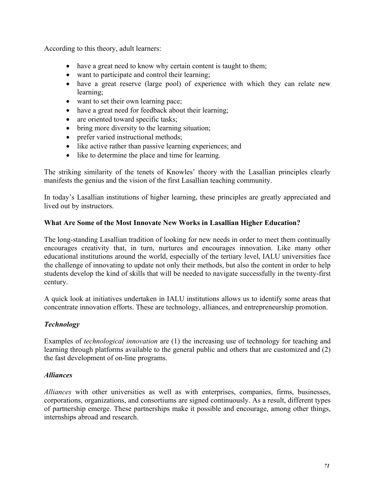According to this theory, adult learners:

- have a great need to know why certain content is taught to them;
- want to participate and control their learning;
- have a great reserve (large pool) of experience with which they can relate new learning;
- want to set their own learning pace;
- have a great need for feedback about their learning;
- are oriented toward specific tasks;
- bring more diversity to the learning situation;
- prefer varied instructional methods;
- like active rather than passive learning experiences; and
- like to determine the place and time for learning.

The striking similarity of the tenets of Knowles' theory with the Lasallian principles clearly manifests the genius and the vision of the first Lasallian teaching community.

In today's Lasallian institutions of higher learning, these principles are greatly appreciated and lived out by instructors.

# **What Are Some of the Most Innovate New Works in Lasallian Higher Education?**

The long-standing Lasallian tradition of looking for new needs in order to meet them continually encourages creativity that, in turn, nurtures and encourages innovation. Like many other educational institutions around the world, especially of the tertiary level, IALU universities face the challenge of innovating to update not only their methods, but also the content in order to help students develop the kind of skills that will be needed to navigate successfully in the twenty-first century.

A quick look at initiatives undertaken in IALU institutions allows us to identify some areas that concentrate innovation efforts. These are technology, alliances, and entrepreneurship promotion.

# *Technology*

Examples of *technological innovation* are (1) the increasing use of technology for teaching and learning through platforms available to the general public and others that are customized and (2) the fast development of on-line programs.

## *Alliances*

*Alliances* with other universities as well as with enterprises, companies, firms, businesses, corporations, organizations, and consortiums are signed continuously. As a result, different types of partnership emerge. These partnerships make it possible and encourage, among other things, internships abroad and research.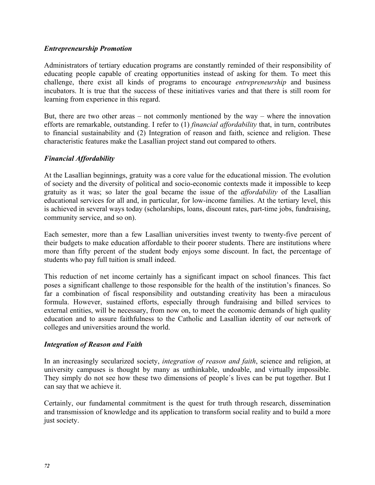### *Entrepreneurship Promotion*

Administrators of tertiary education programs are constantly reminded of their responsibility of educating people capable of creating opportunities instead of asking for them. To meet this challenge, there exist all kinds of programs to encourage *entrepreneurship* and business incubators. It is true that the success of these initiatives varies and that there is still room for learning from experience in this regard.

But, there are two other areas – not commonly mentioned by the way – where the innovation efforts are remarkable, outstanding. I refer to (1) *financial affordability* that, in turn, contributes to financial sustainability and (2) Integration of reason and faith, science and religion. These characteristic features make the Lasallian project stand out compared to others.

## *Financial Affordability*

At the Lasallian beginnings, gratuity was a core value for the educational mission. The evolution of society and the diversity of political and socio-economic contexts made it impossible to keep gratuity as it was; so later the goal became the issue of the *affordability* of the Lasallian educational services for all and, in particular, for low-income families. At the tertiary level, this is achieved in several ways today (scholarships, loans, discount rates, part-time jobs, fundraising, community service, and so on).

Each semester, more than a few Lasallian universities invest twenty to twenty-five percent of their budgets to make education affordable to their poorer students. There are institutions where more than fifty percent of the student body enjoys some discount. In fact, the percentage of students who pay full tuition is small indeed.

This reduction of net income certainly has a significant impact on school finances. This fact poses a significant challenge to those responsible for the health of the institution's finances. So far a combination of fiscal responsibility and outstanding creativity has been a miraculous formula. However, sustained efforts, especially through fundraising and billed services to external entities, will be necessary, from now on, to meet the economic demands of high quality education and to assure faithfulness to the Catholic and Lasallian identity of our network of colleges and universities around the world.

#### *Integration of Reason and Faith*

In an increasingly secularized society, *integration of reason and faith*, science and religion, at university campuses is thought by many as unthinkable, undoable, and virtually impossible. They simply do not see how these two dimensions of people´s lives can be put together. But I can say that we achieve it.

Certainly, our fundamental commitment is the quest for truth through research, dissemination and transmission of knowledge and its application to transform social reality and to build a more just society.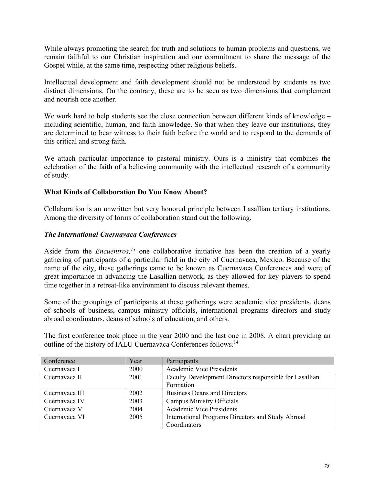While always promoting the search for truth and solutions to human problems and questions, we remain faithful to our Christian inspiration and our commitment to share the message of the Gospel while, at the same time, respecting other religious beliefs.

Intellectual development and faith development should not be understood by students as two distinct dimensions. On the contrary, these are to be seen as two dimensions that complement and nourish one another.

We work hard to help students see the close connection between different kinds of knowledge – including scientific, human, and faith knowledge. So that when they leave our institutions, they are determined to bear witness to their faith before the world and to respond to the demands of this critical and strong faith.

We attach particular importance to pastoral ministry. Ours is a ministry that combines the celebration of the faith of a believing community with the intellectual research of a community of study.

# **What Kinds of Collaboration Do You Know About?**

Collaboration is an unwritten but very honored principle between Lasallian tertiary institutions. Among the diversity of forms of collaboration stand out the following.

# *The International Cuernavaca Conferences*

Aside from the *Encuentros*,<sup>13</sup> one collaborative initiative has been the creation of a yearly gathering of participants of a particular field in the city of Cuernavaca, Mexico. Because of the name of the city, these gatherings came to be known as Cuernavaca Conferences and were of great importance in advancing the Lasallian network, as they allowed for key players to spend time together in a retreat-like environment to discuss relevant themes.

Some of the groupings of participants at these gatherings were academic vice presidents, deans of schools of business, campus ministry officials, international programs directors and study abroad coordinators, deans of schools of education, and others.

The first conference took place in the year 2000 and the last one in 2008. A chart providing an outline of the history of IALU Cuernavaca Conferences follows.<sup>14</sup>

| Conference     | Year | Participants                                            |
|----------------|------|---------------------------------------------------------|
| Cuernavaca I   | 2000 | <b>Academic Vice Presidents</b>                         |
| Cuernavaca II  | 2001 | Faculty Development Directors responsible for Lasallian |
|                |      | Formation                                               |
| Cuernavaca III | 2002 | <b>Business Deans and Directors</b>                     |
| Cuernavaca IV  | 2003 | Campus Ministry Officials                               |
| Cuernavaca V   | 2004 | <b>Academic Vice Presidents</b>                         |
| Cuernavaca VI  | 2005 | International Programs Directors and Study Abroad       |
|                |      | Coordinators                                            |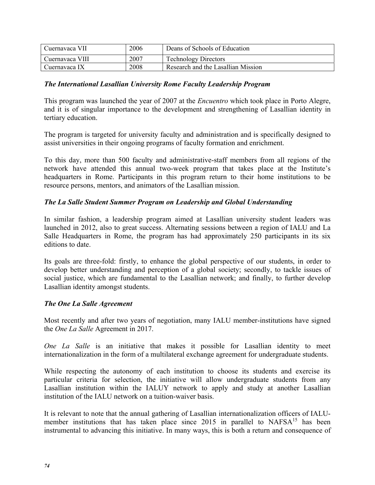| Cuernavaca VII  | 2006 | Deans of Schools of Education      |
|-----------------|------|------------------------------------|
| Cuernavaca VIII | 2007 | <b>Technology Directors</b>        |
| Cuernavaca IX   | 2008 | Research and the Lasallian Mission |

### *The International Lasallian University Rome Faculty Leadership Program*

This program was launched the year of 2007 at the *Encuentro* which took place in Porto Alegre, and it is of singular importance to the development and strengthening of Lasallian identity in tertiary education.

The program is targeted for university faculty and administration and is specifically designed to assist universities in their ongoing programs of faculty formation and enrichment.

To this day, more than 500 faculty and administrative-staff members from all regions of the network have attended this annual two-week program that takes place at the Institute's headquarters in Rome. Participants in this program return to their home institutions to be resource persons, mentors, and animators of the Lasallian mission.

### *The La Salle Student Summer Program on Leadership and Global Understanding*

In similar fashion, a leadership program aimed at Lasallian university student leaders was launched in 2012, also to great success. Alternating sessions between a region of IALU and La Salle Headquarters in Rome, the program has had approximately 250 participants in its six editions to date.

Its goals are three-fold: firstly, to enhance the global perspective of our students, in order to develop better understanding and perception of a global society; secondly, to tackle issues of social justice, which are fundamental to the Lasallian network; and finally, to further develop Lasallian identity amongst students.

#### *The One La Salle Agreement*

Most recently and after two years of negotiation, many IALU member-institutions have signed the *One La Salle* Agreement in 2017.

*One La Salle* is an initiative that makes it possible for Lasallian identity to meet internationalization in the form of a multilateral exchange agreement for undergraduate students.

While respecting the autonomy of each institution to choose its students and exercise its particular criteria for selection, the initiative will allow undergraduate students from any Lasallian institution within the IALUY network to apply and study at another Lasallian institution of the IALU network on a tuition-waiver basis.

It is relevant to note that the annual gathering of Lasallian internationalization officers of IALUmember institutions that has taken place since  $2015$  in parallel to NAFSA<sup>15</sup> has been instrumental to advancing this initiative. In many ways, this is both a return and consequence of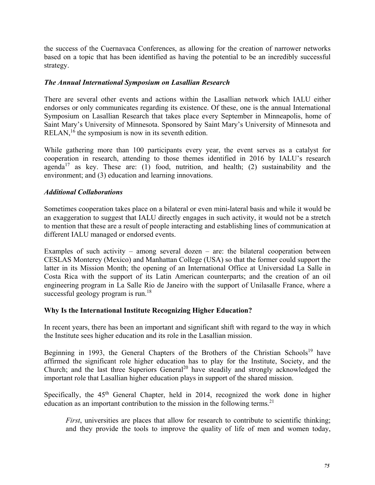the success of the Cuernavaca Conferences, as allowing for the creation of narrower networks based on a topic that has been identified as having the potential to be an incredibly successful strategy.

### *The Annual International Symposium on Lasallian Research*

There are several other events and actions within the Lasallian network which IALU either endorses or only communicates regarding its existence. Of these, one is the annual International Symposium on Lasallian Research that takes place every September in Minneapolis, home of Saint Mary's University of Minnesota. Sponsored by Saint Mary's University of Minnesota and RELAN,  $16$  the symposium is now in its seventh edition.

While gathering more than 100 participants every year, the event serves as a catalyst for cooperation in research, attending to those themes identified in 2016 by IALU's research agenda<sup>17</sup> as key. These are: (1) food, nutrition, and health; (2) sustainability and the environment; and (3) education and learning innovations.

### *Additional Collaborations*

Sometimes cooperation takes place on a bilateral or even mini-lateral basis and while it would be an exaggeration to suggest that IALU directly engages in such activity, it would not be a stretch to mention that these are a result of people interacting and establishing lines of communication at different IALU managed or endorsed events.

Examples of such activity – among several dozen – are: the bilateral cooperation between CESLAS Monterey (Mexico) and Manhattan College (USA) so that the former could support the latter in its Mission Month; the opening of an International Office at Universidad La Salle in Costa Rica with the support of its Latin American counterparts; and the creation of an oil engineering program in La Salle Rio de Janeiro with the support of Unilasalle France, where a successful geology program is run.<sup>18</sup>

#### **Why Is the International Institute Recognizing Higher Education?**

In recent years, there has been an important and significant shift with regard to the way in which the Institute sees higher education and its role in the Lasallian mission.

Beginning in 1993, the General Chapters of the Brothers of the Christian Schools<sup>19</sup> have affirmed the significant role higher education has to play for the Institute, Society, and the Church; and the last three Superiors General<sup>20</sup> have steadily and strongly acknowledged the important role that Lasallian higher education plays in support of the shared mission.

Specifically, the  $45<sup>th</sup>$  General Chapter, held in 2014, recognized the work done in higher education as an important contribution to the mission in the following terms.<sup>21</sup>

*First*, universities are places that allow for research to contribute to scientific thinking; and they provide the tools to improve the quality of life of men and women today,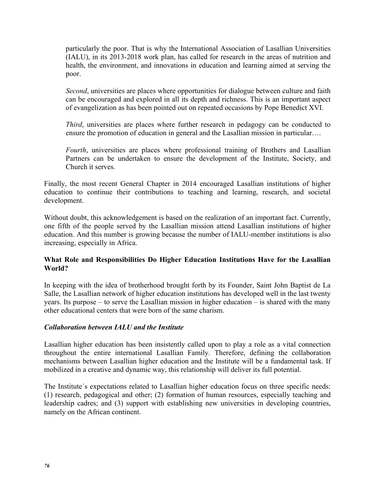particularly the poor. That is why the International Association of Lasallian Universities (IALU), in its 2013-2018 work plan, has called for research in the areas of nutrition and health, the environment, and innovations in education and learning aimed at serving the poor.

*Second*, universities are places where opportunities for dialogue between culture and faith can be encouraged and explored in all its depth and richness. This is an important aspect of evangelization as has been pointed out on repeated occasions by Pope Benedict XVI.

*Third*, universities are places where further research in pedagogy can be conducted to ensure the promotion of education in general and the Lasallian mission in particular….

*Fourth*, universities are places where professional training of Brothers and Lasallian Partners can be undertaken to ensure the development of the Institute, Society, and Church it serves.

Finally, the most recent General Chapter in 2014 encouraged Lasallian institutions of higher education to continue their contributions to teaching and learning, research, and societal development.

Without doubt, this acknowledgement is based on the realization of an important fact. Currently, one fifth of the people served by the Lasallian mission attend Lasallian institutions of higher education. And this number is growing because the number of IALU-member institutions is also increasing, especially in Africa.

## **What Role and Responsibilities Do Higher Education Institutions Have for the Lasallian World?**

In keeping with the idea of brotherhood brought forth by its Founder, Saint John Baptist de La Salle, the Lasallian network of higher education institutions has developed well in the last twenty years. Its purpose – to serve the Lasallian mission in higher education – is shared with the many other educational centers that were born of the same charism.

## *Collaboration between IALU and the Institute*

Lasallian higher education has been insistently called upon to play a role as a vital connection throughout the entire international Lasallian Family. Therefore, defining the collaboration mechanisms between Lasallian higher education and the Institute will be a fundamental task. If mobilized in a creative and dynamic way, this relationship will deliver its full potential.

The Institute´s expectations related to Lasallian higher education focus on three specific needs: (1) research, pedagogical and other; (2) formation of human resources, especially teaching and leadership cadres; and (3) support with establishing new universities in developing countries, namely on the African continent.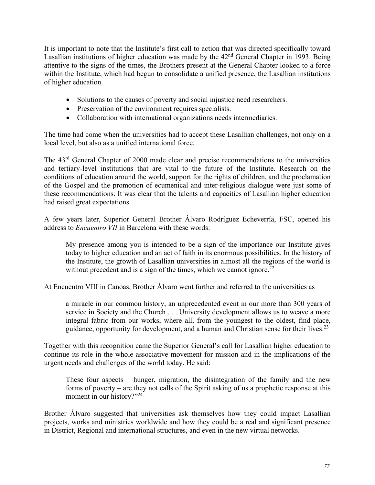It is important to note that the Institute's first call to action that was directed specifically toward Lasallian institutions of higher education was made by the 42<sup>nd</sup> General Chapter in 1993. Being attentive to the signs of the times, the Brothers present at the General Chapter looked to a force within the Institute, which had begun to consolidate a unified presence, the Lasallian institutions of higher education.

- Solutions to the causes of poverty and social injustice need researchers.
- Preservation of the environment requires specialists.
- Collaboration with international organizations needs intermediaries.

The time had come when the universities had to accept these Lasallian challenges, not only on a local level, but also as a unified international force.

The 43rd General Chapter of 2000 made clear and precise recommendations to the universities and tertiary-level institutions that are vital to the future of the Institute. Research on the conditions of education around the world, support for the rights of children, and the proclamation of the Gospel and the promotion of ecumenical and inter-religious dialogue were just some of these recommendations. It was clear that the talents and capacities of Lasallian higher education had raised great expectations.

A few years later, Superior General Brother Álvaro Rodríguez Echeverría, FSC, opened his address to *Encuentro VII* in Barcelona with these words:

My presence among you is intended to be a sign of the importance our Institute gives today to higher education and an act of faith in its enormous possibilities. In the history of the Institute, the growth of Lasallian universities in almost all the regions of the world is without precedent and is a sign of the times, which we cannot ignore.<sup>22</sup>

At Encuentro VIII in Canoas, Brother Álvaro went further and referred to the universities as

a miracle in our common history, an unprecedented event in our more than 300 years of service in Society and the Church . . . University development allows us to weave a more integral fabric from our works, where all, from the youngest to the oldest, find place, guidance, opportunity for development, and a human and Christian sense for their lives.<sup>23</sup>

Together with this recognition came the Superior General's call for Lasallian higher education to continue its role in the whole associative movement for mission and in the implications of the urgent needs and challenges of the world today. He said:

These four aspects – hunger, migration, the disintegration of the family and the new forms of poverty – are they not calls of the Spirit asking of us a prophetic response at this moment in our history?"<sup>24</sup>

Brother Álvaro suggested that universities ask themselves how they could impact Lasallian projects, works and ministries worldwide and how they could be a real and significant presence in District, Regional and international structures, and even in the new virtual networks.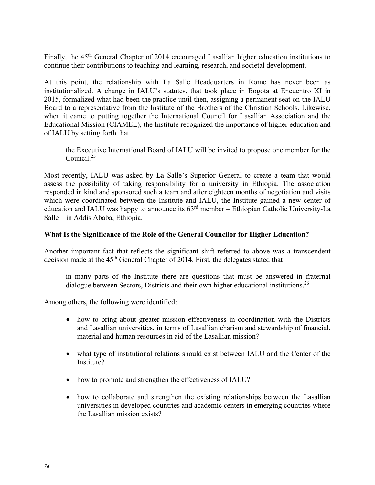Finally, the 45<sup>th</sup> General Chapter of 2014 encouraged Lasallian higher education institutions to continue their contributions to teaching and learning, research, and societal development.

At this point, the relationship with La Salle Headquarters in Rome has never been as institutionalized. A change in IALU's statutes, that took place in Bogota at Encuentro XI in 2015, formalized what had been the practice until then, assigning a permanent seat on the IALU Board to a representative from the Institute of the Brothers of the Christian Schools. Likewise, when it came to putting together the International Council for Lasallian Association and the Educational Mission (CIAMEL), the Institute recognized the importance of higher education and of IALU by setting forth that

the Executive International Board of IALU will be invited to propose one member for the Council.25

Most recently, IALU was asked by La Salle's Superior General to create a team that would assess the possibility of taking responsibility for a university in Ethiopia. The association responded in kind and sponsored such a team and after eighteen months of negotiation and visits which were coordinated between the Institute and IALU, the Institute gained a new center of education and IALU was happy to announce its 63rd member – Ethiopian Catholic University-La Salle – in Addis Ababa, Ethiopia.

## **What Is the Significance of the Role of the General Councilor for Higher Education?**

Another important fact that reflects the significant shift referred to above was a transcendent decision made at the 45<sup>th</sup> General Chapter of 2014. First, the delegates stated that

in many parts of the Institute there are questions that must be answered in fraternal dialogue between Sectors, Districts and their own higher educational institutions.<sup>26</sup>

Among others, the following were identified:

- how to bring about greater mission effectiveness in coordination with the Districts and Lasallian universities, in terms of Lasallian charism and stewardship of financial, material and human resources in aid of the Lasallian mission?
- what type of institutional relations should exist between IALU and the Center of the Institute?
- how to promote and strengthen the effectiveness of IALU?
- how to collaborate and strengthen the existing relationships between the Lasallian universities in developed countries and academic centers in emerging countries where the Lasallian mission exists?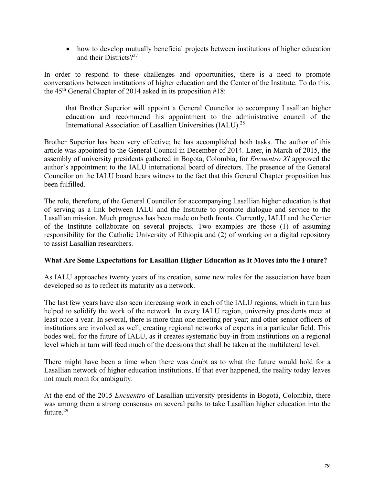• how to develop mutually beneficial projects between institutions of higher education and their Districts?<sup>27</sup>

In order to respond to these challenges and opportunities, there is a need to promote conversations between institutions of higher education and the Center of the Institute. To do this, the  $45<sup>th</sup>$  General Chapter of 2014 asked in its proposition #18:

that Brother Superior will appoint a General Councilor to accompany Lasallian higher education and recommend his appointment to the administrative council of the International Association of Lasallian Universities (IALU).28

Brother Superior has been very effective; he has accomplished both tasks. The author of this article was appointed to the General Council in December of 2014. Later, in March of 2015, the assembly of university presidents gathered in Bogota, Colombia, for *Encuentro XI* approved the author's appointment to the IALU international board of directors. The presence of the General Councilor on the IALU board bears witness to the fact that this General Chapter proposition has been fulfilled.

The role, therefore, of the General Councilor for accompanying Lasallian higher education is that of serving as a link between IALU and the Institute to promote dialogue and service to the Lasallian mission. Much progress has been made on both fronts. Currently, IALU and the Center of the Institute collaborate on several projects. Two examples are those (1) of assuming responsibility for the Catholic University of Ethiopia and (2) of working on a digital repository to assist Lasallian researchers.

## **What Are Some Expectations for Lasallian Higher Education as It Moves into the Future?**

As IALU approaches twenty years of its creation, some new roles for the association have been developed so as to reflect its maturity as a network.

The last few years have also seen increasing work in each of the IALU regions, which in turn has helped to solidify the work of the network. In every IALU region, university presidents meet at least once a year. In several, there is more than one meeting per year; and other senior officers of institutions are involved as well, creating regional networks of experts in a particular field. This bodes well for the future of IALU, as it creates systematic buy-in from institutions on a regional level which in turn will feed much of the decisions that shall be taken at the multilateral level.

There might have been a time when there was doubt as to what the future would hold for a Lasallian network of higher education institutions. If that ever happened, the reality today leaves not much room for ambiguity.

At the end of the 2015 *Encuentro* of Lasallian university presidents in Bogotá, Colombia, there was among them a strong consensus on several paths to take Lasallian higher education into the future.<sup>29</sup>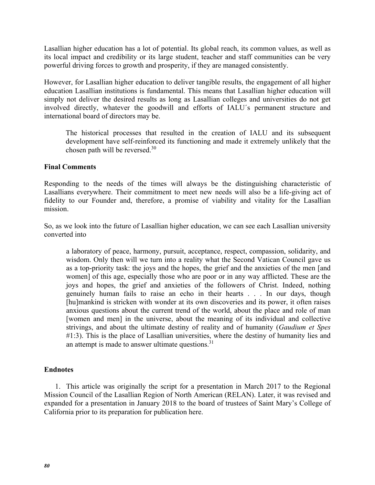Lasallian higher education has a lot of potential. Its global reach, its common values, as well as its local impact and credibility or its large student, teacher and staff communities can be very powerful driving forces to growth and prosperity, if they are managed consistently.

However, for Lasallian higher education to deliver tangible results, the engagement of all higher education Lasallian institutions is fundamental. This means that Lasallian higher education will simply not deliver the desired results as long as Lasallian colleges and universities do not get involved directly, whatever the goodwill and efforts of IALU´s permanent structure and international board of directors may be.

The historical processes that resulted in the creation of IALU and its subsequent development have self-reinforced its functioning and made it extremely unlikely that the chosen path will be reversed.<sup>30</sup>

### **Final Comments**

Responding to the needs of the times will always be the distinguishing characteristic of Lasallians everywhere. Their commitment to meet new needs will also be a life-giving act of fidelity to our Founder and, therefore, a promise of viability and vitality for the Lasallian mission.

So, as we look into the future of Lasallian higher education, we can see each Lasallian university converted into

a laboratory of peace, harmony, pursuit, acceptance, respect, compassion, solidarity, and wisdom. Only then will we turn into a reality what the Second Vatican Council gave us as a top-priority task: the joys and the hopes, the grief and the anxieties of the men [and women] of this age, especially those who are poor or in any way afflicted. These are the joys and hopes, the grief and anxieties of the followers of Christ. Indeed, nothing genuinely human fails to raise an echo in their hearts . . . In our days, though [hu]mankind is stricken with wonder at its own discoveries and its power, it often raises anxious questions about the current trend of the world, about the place and role of man [women and men] in the universe, about the meaning of its individual and collective strivings, and about the ultimate destiny of reality and of humanity (*Gaudium et Spes* #1:3). This is the place of Lasallian universities, where the destiny of humanity lies and an attempt is made to answer ultimate questions.<sup>31</sup>

## **Endnotes**

1. This article was originally the script for a presentation in March 2017 to the Regional Mission Council of the Lasallian Region of North American (RELAN). Later, it was revised and expanded for a presentation in January 2018 to the board of trustees of Saint Mary's College of California prior to its preparation for publication here.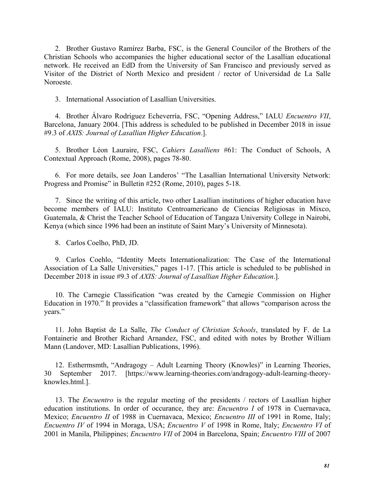2. Brother Gustavo Ramírez Barba, FSC, is the General Councilor of the Brothers of the Christian Schools who accompanies the higher educational sector of the Lasallian educational network. He received an EdD from the University of San Francisco and previously served as Visitor of the District of North Mexico and president / rector of Universidad de La Salle Noroeste.

3. International Association of Lasallian Universities.

4. Brother Álvaro Rodríguez Echeverría, FSC, "Opening Address," IALU *Encuentro VII*, Barcelona, January 2004. [This address is scheduled to be published in December 2018 in issue #9.3 of *AXIS: Journal of Lasallian Higher Education*.].

5. Brother Léon Lauraire, FSC, *Cahiers Lasalliens* #61: The Conduct of Schools, A Contextual Approach (Rome, 2008), pages 78-80.

6. For more details, see Joan Landeros' "The Lasallian International University Network: Progress and Promise" in Bulletin #252 (Rome, 2010), pages 5-18.

7. Since the writing of this article, two other Lasallian institutions of higher education have become members of IALU: Instituto Centroamericano de Ciencias Religiosas in Mixco, Guatemala, & Christ the Teacher School of Education of Tangaza University College in Nairobi, Kenya (which since 1996 had been an institute of Saint Mary's University of Minnesota).

8. Carlos Coelho, PhD, JD.

9. Carlos Coehlo, "Identity Meets Internationalization: The Case of the International Association of La Salle Universities," pages 1-17. [This article is scheduled to be published in December 2018 in issue #9.3 of *AXIS: Journal of Lasallian Higher Education*.].

10. The Carnegie Classification "was created by the Carnegie Commission on Higher Education in 1970." It provides a "classification framework" that allows "comparison across the years."

11. John Baptist de La Salle, *The Conduct of Christian Schools*, translated by F. de La Fontainerie and Brother Richard Arnandez, FSC, and edited with notes by Brother William Mann (Landover, MD: Lasallian Publications, 1996).

12. Esthermsmth, "Andragogy – Adult Learning Theory (Knowles)" in Learning Theories, 30 September 2017. [https://www.learning-theories.com/andragogy-adult-learning-theoryknowles.html.].

13. The *Encuentro* is the regular meeting of the presidents / rectors of Lasallian higher education institutions. In order of occurance, they are: *Encuentro I* of 1978 in Cuernavaca, Mexico; *Encuentro II* of 1988 in Cuernavaca, Mexico; *Encuentro III* of 1991 in Rome, Italy; *Encuentro IV* of 1994 in Moraga, USA; *Encuentro V* of 1998 in Rome, Italy; *Encuentro VI* of 2001 in Manila, Philippines; *Encuentro VII* of 2004 in Barcelona, Spain; *Encuentro VIII* of 2007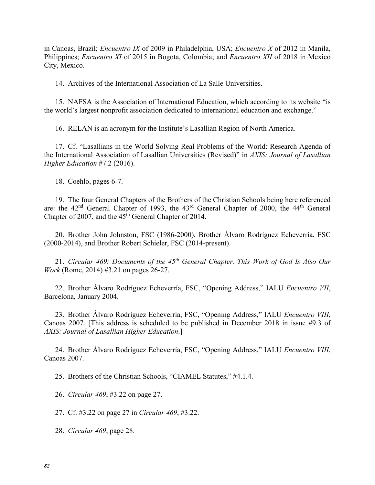in Canoas, Brazil; *Encuentro IX* of 2009 in Philadelphia, USA; *Encuentro X* of 2012 in Manila, Philippines; *Encuentro XI* of 2015 in Bogota, Colombia; and *Encuentro XII* of 2018 in Mexico City, Mexico.

14. Archives of the International Association of La Salle Universities.

15. NAFSA is the Association of International Education, which according to its website "is the world's largest nonprofit association dedicated to international education and exchange."

16. RELAN is an acronym for the Institute's Lasallian Region of North America.

17. Cf. "Lasallians in the World Solving Real Problems of the World: Research Agenda of the International Association of Lasallian Universities (Revised)" in *AXIS: Journal of Lasallian Higher Education* #7.2 (2016).

18. Coehlo, pages 6-7.

19. The four General Chapters of the Brothers of the Christian Schools being here referenced are: the 42nd General Chapter of 1993, the 43rd General Chapter of 2000, the 44th General Chapter of 2007, and the  $45<sup>th</sup>$  General Chapter of 2014.

20. Brother John Johnston, FSC (1986-2000), Brother Álvaro Rodríguez Echeverría, FSC (2000-2014), and Brother Robert Schieler, FSC (2014-present).

21. *Circular 469: Documents of the 45th General Chapter. This Work of God Is Also Our Work* (Rome, 2014) #3.21 on pages 26-27.

22. Brother Álvaro Rodríguez Echeverría, FSC, "Opening Address," IALU *Encuentro VII*, Barcelona, January 2004.

23. Brother Álvaro Rodríguez Echeverría, FSC, "Opening Address," IALU *Encuentro VIII*, Canoas 2007. [This address is scheduled to be published in December 2018 in issue #9.3 of *AXIS: Journal of Lasallian Higher Education*.]

24. Brother Álvaro Rodríguez Echeverría, FSC, "Opening Address," IALU *Encuentro VIII*, Canoas 2007.

25. Brothers of the Christian Schools, "CIAMEL Statutes," #4.1.4.

26. *Circular 469*, #3.22 on page 27.

27. Cf. #3.22 on page 27 in *Circular 469*, #3.22.

28. *Circular 469*, page 28.